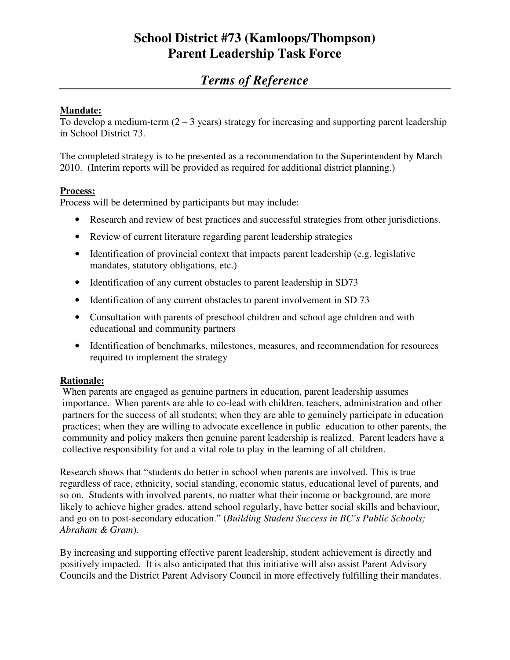# **School District #73 (Kamloops/Thompson) Parent Leadership Task Force**

# *Terms of Reference*

### **Mandate:**

To develop a medium-term  $(2 - 3$  years) strategy for increasing and supporting parent leadership in School District 73.

The completed strategy is to be presented as a recommendation to the Superintendent by March 2010. (Interim reports will be provided as required for additional district planning.)

#### **Process:**

Process will be determined by participants but may include:

- Research and review of best practices and successful strategies from other jurisdictions.
- Review of current literature regarding parent leadership strategies
- Identification of provincial context that impacts parent leadership (e.g. legislative mandates, statutory obligations, etc.)
- Identification of any current obstacles to parent leadership in SD73
- Identification of any current obstacles to parent involvement in SD 73
- Consultation with parents of preschool children and school age children and with educational and community partners
- Identification of benchmarks, milestones, measures, and recommendation for resources required to implement the strategy

#### **Rationale:**

When parents are engaged as genuine partners in education, parent leadership assumes importance. When parents are able to co-lead with children, teachers, administration and other partners for the success of all students; when they are able to genuinely participate in education practices; when they are willing to advocate excellence in public education to other parents, the community and policy makers then genuine parent leadership is realized. Parent leaders have a collective responsibility for and a vital role to play in the learning of all children.

Research shows that "students do better in school when parents are involved. This is true regardless of race, ethnicity, social standing, economic status, educational level of parents, and so on. Students with involved parents, no matter what their income or background, are more likely to achieve higher grades, attend school regularly, have better social skills and behaviour, and go on to post-secondary education." (*Building Student Success in BC's Public Schools; Abraham & Gram*).

By increasing and supporting effective parent leadership, student achievement is directly and positively impacted. It is also anticipated that this initiative will also assist Parent Advisory Councils and the District Parent Advisory Council in more effectively fulfilling their mandates.